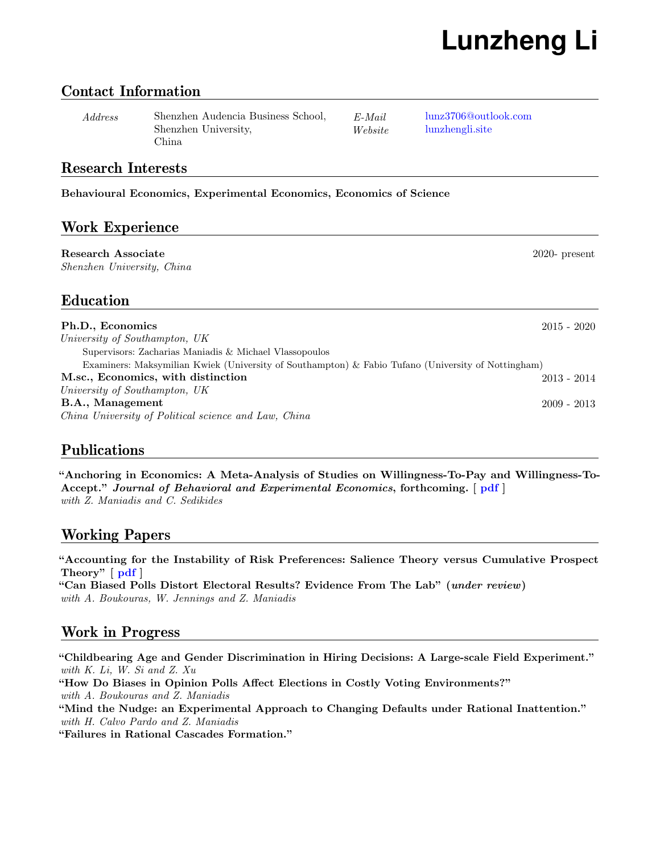# **Lunzheng Li**

#### Contact Information

Address Shenzhen Audencia Business School, Shenzhen University, China

E-Mail [lunz3706@outlook.com](mailto:lunz3706@outlook.com) Website [lunzhengli.site](http://lunzhengli.site)

#### Research Interests

#### Behavioural Economics, Experimental Economics, Economics of Science

### Work Experience

Research Associate 2020- present Shenzhen University, China

# Education

| Ph.D., Economics                                                                                   | $2015$ - $2020$ |
|----------------------------------------------------------------------------------------------------|-----------------|
| University of Southampton, UK                                                                      |                 |
| Supervisors: Zacharias Maniadis & Michael Vlassopoulos                                             |                 |
| Examiners: Maksymilian Kwiek (University of Southampton) & Fabio Tufano (University of Nottingham) |                 |
| M.sc., Economics, with distinction                                                                 | $2013 - 2014$   |
| University of Southampton, UK                                                                      |                 |
| B.A., Management                                                                                   | $2009 - 2013$   |
| China University of Political science and Law, China                                               |                 |

# Publications

"Anchoring in Economics: A Meta-Analysis of Studies on Willingness-To-Pay and Willingness-To-Accept." Journal of Behavioral and Experimental Economics, forthcoming. [  $pdf$  ] with Z. Maniadis and C. Sedikides

# Working Papers

"Accounting for the Instability of Risk Preferences: Salience Theory versus Cumulative Prospect Theory" [ [pdf](http://lunzhengli.site/pdf/Li2020.pdf) ]

"Can Biased Polls Distort Electoral Results? Evidence From The Lab" (under review) with A. Boukouras, W. Jennings and Z. Maniadis

# Work in Progress

"Childbearing Age and Gender Discrimination in Hiring Decisions: A Large-scale Field Experiment." with K. Li, W. Si and Z. Xu "How Do Biases in Opinion Polls Affect Elections in Costly Voting Environments?" with A. Boukouras and Z. Maniadis "Mind the Nudge: an Experimental Approach to Changing Defaults under Rational Inattention." with H. Calvo Pardo and Z. Maniadis

"Failures in Rational Cascades Formation."